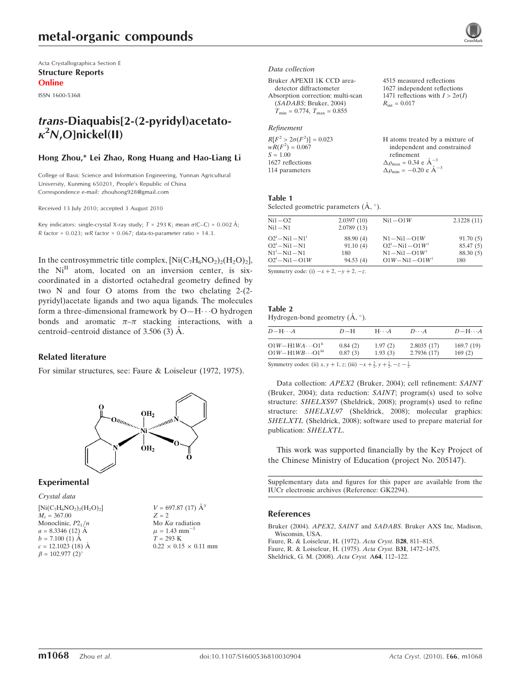Acta Crystallographica Section E Structure Reports Online

ISSN 1600-5368

# trans-Diaquabis[2-(2-pyridyl)acetato- $\kappa^2$ N,O]nickel(II)

# Hong Zhou,\* Lei Zhao, Rong Huang and Hao-Liang Li

College of Basic Science and Information Engineering, Yunnan Agricultural University, Kunming 650201, People's Republic of China Correspondence e-mail: zhouhong928@gmail.com

Received 13 July 2010; accepted 3 August 2010

Key indicators: single-crystal X-ray study;  $T = 293$  K; mean  $\sigma$ (C–C) = 0.002 Å; R factor =  $0.023$ ; wR factor =  $0.067$ ; data-to-parameter ratio = 14.3.

In the centrosymmetric title complex,  $\text{[Ni}(C_7\text{H}_6\text{NO}_2)_2(\text{H}_2\text{O})_2\text{]},$ the  $Ni<sup>II</sup>$  atom, located on an inversion center, is sixcoordinated in a distorted octahedral geometry defined by two N and four O atoms from the two chelating 2-(2 pyridyl)acetate ligands and two aqua ligands. The molecules form a three-dimensional framework by O-H $\cdots$ O hydrogen bonds and aromatic  $\pi-\pi$  stacking interactions, with a centroid–centroid distance of  $3.506(3)$  Å.

# Related literature

For similar structures, see: Faure & Loiseleur (1972, 1975).



## Experimental

Crystal data  $[Ni(C_7H_6NO_2)_2(H_2O)_2]$  $M_r = 367.00$ Monoclinic,  $P2_1/n$  $a = 8.3346(12)$  Å  $b = 7.100$  (1)  $\AA$  $c = 12.1023$  (18) Å  $\beta = 102.977$  (2)<sup>o</sup>

 $V = 697.87$  (17)  $\AA^3$  $Z = 2$ Mo  $K\alpha$  radiation  $\mu = 1.43$  mm<sup>-1</sup>  $T = 293 \text{ K}$  $0.22 \times 0.15 \times 0.11$  mm

#### Data collection

Bruker APEXII 1K CCD areadetector diffractometer Absorption correction: multi-scan (SADABS; Bruker, 2004)  $T_{\text{min}} = 0.774, T_{\text{max}} = 0.855$ 

#### Refinement

| $R[F^2 > 2\sigma(F^2)] = 0.023$ | H atoms treated by a mixture of                     |
|---------------------------------|-----------------------------------------------------|
| $wR(F^2) = 0.067$               | independent and constrained                         |
| $S = 1.00$                      | refinement                                          |
| 1627 reflections                | $\Delta \rho_{\text{max}} = 0.34 \text{ e A}^{-3}$  |
| 114 parameters                  | $\Delta \rho_{\text{min}} = -0.20 \text{ e A}^{-3}$ |

4515 measured reflections 1627 independent reflections 1471 reflections with  $I > 2\sigma(I)$ 

 $R_{\text{int}} = 0.017$ 

### Table 1

Selected geometric parameters  $(\mathring{A}, \degree)$ .

| 2.0397(10)<br>2.1228(11)<br>$Ni1-O2$<br>$Ni1-O1W$<br>2.0789(13)<br>$Ni1-N1$<br>$O2^{i} - Ni1 - N1^{i}$<br>88.90 (4)<br>91.70(5)<br>$N1 - Ni1 - O1W$<br>$O2^{i} - Ni1 - O1W^{i}$<br>$O2^{i} - Ni1 - N1$<br>91.10(4)<br>85.47(5)<br>$N1^i - N11 - N1$<br>$N1 - Ni1 - O1W^{i}$<br>88.30 (5)<br>180<br>$O2^{i} - Ni1 - O1W$<br>$O1W - Ni1 - O1W$ <sup>i</sup><br>94.53(4)<br>180 |  |  |
|------------------------------------------------------------------------------------------------------------------------------------------------------------------------------------------------------------------------------------------------------------------------------------------------------------------------------------------------------------------------------|--|--|
|                                                                                                                                                                                                                                                                                                                                                                              |  |  |
|                                                                                                                                                                                                                                                                                                                                                                              |  |  |

Symmetry code: (i)  $-x + 2$ ,  $-y + 2$ ,  $-z$ .

Table 2 Hydrogen-bond geometry  $(\AA, \degree)$ .

| $D-\mathrm{H}\cdots A$                | $D-H$   | $H\cdots A$ | $D\cdots A$ | $D$ -H $\cdots$ A |
|---------------------------------------|---------|-------------|-------------|-------------------|
| $O1W - H1WA \cdots O1$ <sup>ii</sup>  | 0.84(2) | 1.97(2)     | 2.8035(17)  | 169.7(19)         |
| $O1W - H1WB \cdots O1$ <sup>iii</sup> | 0.87(3) | 1.93(3)     | 2.7936(17)  | 169(2)            |

Symmetry codes: (ii)  $x, y + 1, z$ ; (iii)  $-x + \frac{3}{2}, y + \frac{1}{2}, -z - \frac{1}{2}$ .

Data collection: APEX2 (Bruker, 2004); cell refinement: SAINT (Bruker, 2004); data reduction: SAINT; program(s) used to solve structure: SHELXS97 (Sheldrick, 2008); program(s) used to refine structure: SHELXL97 (Sheldrick, 2008); molecular graphics: SHELXTL (Sheldrick, 2008); software used to prepare material for publication: SHELXTL.

This work was supported financially by the Key Project of the Chinese Ministry of Education (project No. 205147).

Supplementary data and figures for this paper are available from the IUCr electronic archives (Reference: GK2294).

#### References

Bruker (2004). APEX2, SAINT and SADABS[. Bruker AXS Inc, Madison,](https://scripts.iucr.org/cgi-bin/cr.cgi?rm=pdfbb&cnor=gk2294&bbid=BB1) [Wisconsin, USA.](https://scripts.iucr.org/cgi-bin/cr.cgi?rm=pdfbb&cnor=gk2294&bbid=BB1)

[Faure, R. & Loiseleur, H. \(1972\).](https://scripts.iucr.org/cgi-bin/cr.cgi?rm=pdfbb&cnor=gk2294&bbid=BB2) Acta Cryst. B28, 811–815.

[Faure, R. & Loiseleur, H. \(1975\).](https://scripts.iucr.org/cgi-bin/cr.cgi?rm=pdfbb&cnor=gk2294&bbid=BB3) Acta Cryst. B31, 1472–1475.

[Sheldrick, G. M. \(2008\).](https://scripts.iucr.org/cgi-bin/cr.cgi?rm=pdfbb&cnor=gk2294&bbid=BB4) Acta Cryst. A64, 112–122.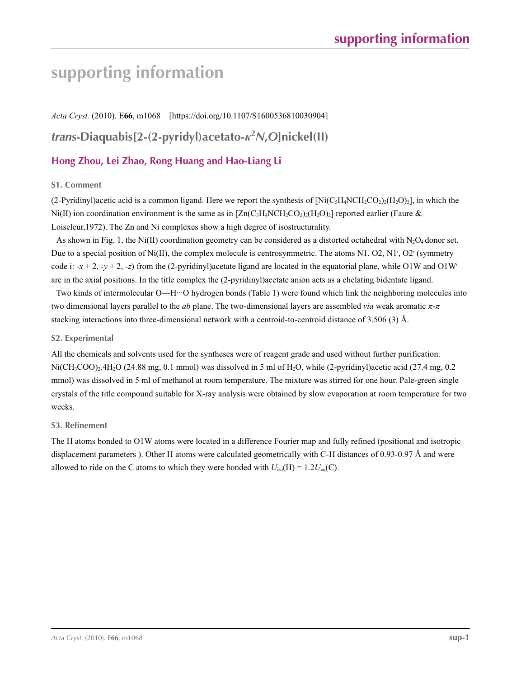# **supporting information**

*Acta Cryst.* (2010). E**66**, m1068 [https://doi.org/10.1107/S1600536810030904] *trans***-Diaquabis[2-(2-pyridyl)acetato-***κ***<sup>2</sup>** *N***,***O***]nickel(II)**

# **Hong Zhou, Lei Zhao, Rong Huang and Hao-Liang Li**

# **S1. Comment**

(2-Pyridinyl)acetic acid is a common ligand. Here we report the synthesis of  $\text{[Ni}(C_5H_4NCH_2CO_2)_2(\text{H}_2O)_2]$ , in which the Ni(II) ion coordination environment is the same as in  $[Zn(C,H_{\rm A}NCH_2CO_2)(H_2O_2)]$  reported earlier (Faure & Loiseleur,1972). The Zn and Ni complexes show a high degree of isostructurality.

As shown in Fig. 1, the Ni(II) coordination geometry can be considered as a distorted octahedral with N<sub>2</sub>O<sub>4</sub> donor set. Due to a special position of Ni(II), the complex molecule is centrosymmetric. The atoms N1, O2, N1<sup>i</sup>, O2<sup>i</sup> (symmetry code i:  $-x + 2$ ,  $-y + 2$ ,  $-z$ ) from the (2-pyridinyl)acetate ligand are located in the equatorial plane, while O1W and O1W<sup>i</sup> are in the axial positions. In the title complex the (2-pyridinyl)acetate anion acts as a chelating bidentate ligand.

Two kinds of intermolecular O—H···O hydrogen bonds (Table 1) were found which link the neighboring molecules into two dimensional layers parallel to the *ab* plane. The two-dimensional layers are assembled *via* weak aromatic *π*-*π* stacking interactions into three-dimensional network with a centroid-to-centroid distance of 3.506 (3) Å.

## **S2. Experimental**

All the chemicals and solvents used for the syntheses were of reagent grade and used without further purification.  $Ni(CH_3COO)_2.4H_2O$  (24.88 mg, 0.1 mmol) was dissolved in 5 ml of  $H_2O$ , while (2-pyridinyl)acetic acid (27.4 mg, 0.2 mmol) was dissolved in 5 ml of methanol at room temperature. The mixture was stirred for one hour. Pale-green single crystals of the title compound suitable for X-ray analysis were obtained by slow evaporation at room temperature for two weeks.

## **S3. Refinement**

The H atoms bonded to O1W atoms were located in a difference Fourier map and fully refined (positional and isotropic displacement parameters ). Other H atoms were calculated geometrically with C-H distances of 0.93-0.97 Å and were allowed to ride on the C atoms to which they were bonded with  $U_{iso}(H) = 1.2U_{eq}(C)$ .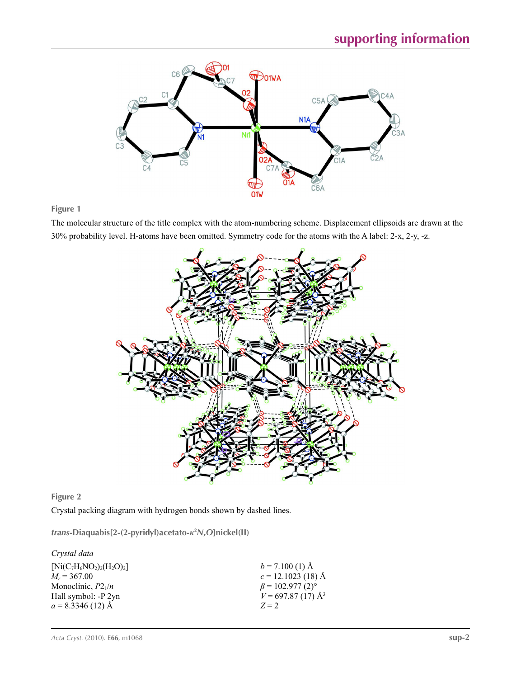

**Figure 1**

The molecular structure of the title complex with the atom-numbering scheme. Displacement ellipsoids are drawn at the 30% probability level. H-atoms have been omitted. Symmetry code for the atoms with the A label: 2-x, 2-y, -z.



**Figure 2**

Crystal packing diagram with hydrogen bonds shown by dashed lines.

*trans***-Diaquabis[2-(2-pyridyl)acetato-***κ***<sup>2</sup>** *N***,***O***]nickel(II)** 

| $b = 7.100(1)$ Å                   |
|------------------------------------|
| $c = 12.1023$ (18) Å               |
| $\beta$ = 102.977 (2) <sup>o</sup> |
| $V = 697.87(17)$ Å <sup>3</sup>    |
| $Z=2$                              |
|                                    |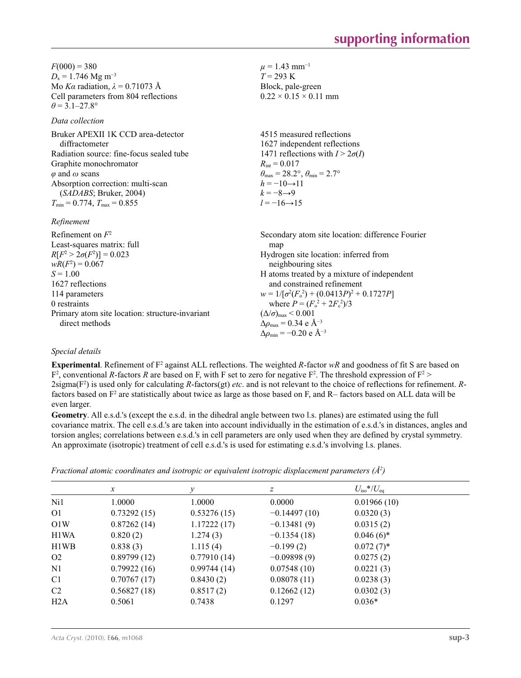$F(000) = 380$  $D_x = 1.746$  Mg m<sup>-3</sup> Mo *Kα* radiation, *λ* = 0.71073 Å Cell parameters from 804 reflections  $\theta$  = 3.1–27.8°

# *Data collection*

| Bruker APEXII 1K CCD area-detector       | 4515 measured reflections                                               |
|------------------------------------------|-------------------------------------------------------------------------|
| diffractometer                           | 1627 independent reflections                                            |
| Radiation source: fine-focus sealed tube | 1471 reflections with $I > 2\sigma(I)$                                  |
| Graphite monochromator                   | $R_{\rm int} = 0.017$                                                   |
| $\varphi$ and $\omega$ scans             | $\theta_{\text{max}} = 28.2^{\circ}, \theta_{\text{min}} = 2.7^{\circ}$ |
| Absorption correction: multi-scan        | $h = -10 \rightarrow 11$                                                |
| (SADABS; Bruker, 2004)                   | $k = -8 \rightarrow 9$                                                  |
| $T_{\min}$ = 0.774, $T_{\max}$ = 0.855   | $l = -16 \rightarrow 15$                                                |
|                                          |                                                                         |

# *Refinement*

| Refinement on $F^2$                             | Secondary atom site location: difference Fourier   |
|-------------------------------------------------|----------------------------------------------------|
| Least-squares matrix: full                      | map                                                |
| $R[F^2 > 2\sigma(F^2)] = 0.023$                 | Hydrogen site location: inferred from              |
| $wR(F^2) = 0.067$                               | neighbouring sites                                 |
| $S = 1.00$                                      | H atoms treated by a mixture of independent        |
| 1627 reflections                                | and constrained refinement                         |
| 114 parameters                                  | $w = 1/[\sigma^2(F_0^2) + (0.0413P)^2 + 0.1727P]$  |
| 0 restraints                                    | where $P = (F_o^2 + 2F_c^2)/3$                     |
| Primary atom site location: structure-invariant | $(\Delta/\sigma)_{\text{max}}$ < 0.001             |
| direct methods                                  | $\Delta \rho_{\text{max}} = 0.34 \text{ e A}^{-3}$ |
|                                                 | $\Delta \rho_{\rm min} = -0.20 \text{ e A}^{-3}$   |

 $\mu = 1.43$  mm<sup>-1</sup>  $T = 293 \text{ K}$ Block, pale-green  $0.22 \times 0.15 \times 0.11$  mm

# *Special details*

**Experimental**. Refinement of  $F^2$  against ALL reflections. The weighted *R*-factor  $wR$  and goodness of fit S are based on  $F^2$ , conventional *R*-factors *R* are based on F, with F set to zero for negative  $F^2$ . The threshold expression of  $F^2$ 2sigma(F2 ) is used only for calculating *R*-factors(gt) *etc*. and is not relevant to the choice of reflections for refinement. *R*factors based on F<sup>2</sup> are statistically about twice as large as those based on F, and R– factors based on ALL data will be even larger.

**Geometry**. All e.s.d.'s (except the e.s.d. in the dihedral angle between two l.s. planes) are estimated using the full covariance matrix. The cell e.s.d.'s are taken into account individually in the estimation of e.s.d.'s in distances, angles and torsion angles; correlations between e.s.d.'s in cell parameters are only used when they are defined by crystal symmetry. An approximate (isotropic) treatment of cell e.s.d.'s is used for estimating e.s.d.'s involving l.s. planes.

| Fractional atomic coordinates and isotropic or equivalent isotropic displacement parameters $(\hat{A}^2)$ |  |  |  |
|-----------------------------------------------------------------------------------------------------------|--|--|--|
|                                                                                                           |  |  |  |

|                | $\boldsymbol{x}$ | v           | z              | $U_{\rm iso}*/U_{\rm eq}$ |  |
|----------------|------------------|-------------|----------------|---------------------------|--|
| Ni1            | 1.0000           | 1.0000      | 0.0000         | 0.01966(10)               |  |
| O1             | 0.73292(15)      | 0.53276(15) | $-0.14497(10)$ | 0.0320(3)                 |  |
| O1W            | 0.87262(14)      | 1.17222(17) | $-0.13481(9)$  | 0.0315(2)                 |  |
| H1WA           | 0.820(2)         | 1.274(3)    | $-0.1354(18)$  | $0.046(6)$ *              |  |
| H1WB           | 0.838(3)         | 1.115(4)    | $-0.199(2)$    | $0.072(7)$ *              |  |
| O <sub>2</sub> | 0.89799(12)      | 0.77910(14) | $-0.09898(9)$  | 0.0275(2)                 |  |
| N <sub>1</sub> | 0.79922(16)      | 0.99744(14) | 0.07548(10)    | 0.0221(3)                 |  |
| C <sub>1</sub> | 0.70767(17)      | 0.8430(2)   | 0.08078(11)    | 0.0238(3)                 |  |
| C2             | 0.56827(18)      | 0.8517(2)   | 0.12662(12)    | 0.0302(3)                 |  |
| H2A            | 0.5061           | 0.7438      | 0.1297         | $0.036*$                  |  |
|                |                  |             |                |                           |  |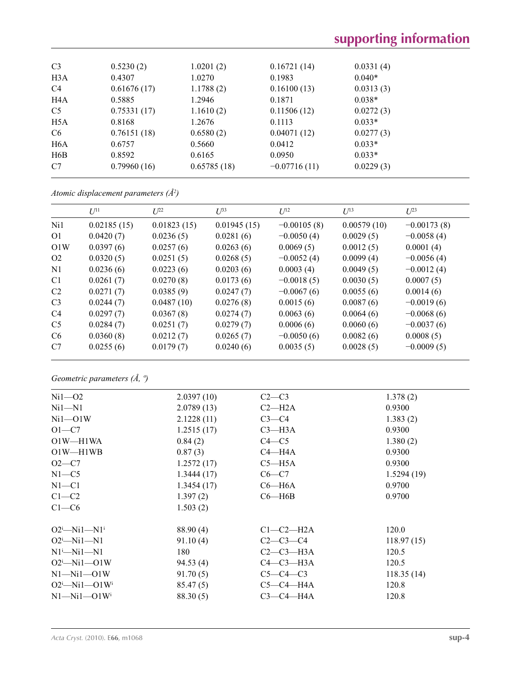| C <sub>3</sub>   | 0.5230(2)   | 1.0201(2)   | 0.16721(14)    | 0.0331(4) |
|------------------|-------------|-------------|----------------|-----------|
| H <sub>3</sub> A | 0.4307      | 1.0270      | 0.1983         | $0.040*$  |
| C <sub>4</sub>   | 0.61676(17) | 1.1788(2)   | 0.16100(13)    | 0.0313(3) |
| H <sub>4</sub> A | 0.5885      | 1.2946      | 0.1871         | $0.038*$  |
| C <sub>5</sub>   | 0.75331(17) | 1.1610(2)   | 0.11506(12)    | 0.0272(3) |
| H <sub>5</sub> A | 0.8168      | 1.2676      | 0.1113         | $0.033*$  |
| C <sub>6</sub>   | 0.76151(18) | 0.6580(2)   | 0.04071(12)    | 0.0277(3) |
| H <sub>6</sub> A | 0.6757      | 0.5660      | 0.0412         | $0.033*$  |
| H <sub>6</sub> B | 0.8592      | 0.6165      | 0.0950         | $0.033*$  |
| C7               | 0.79960(16) | 0.65785(18) | $-0.07716(11)$ | 0.0229(3) |

*Atomic displacement parameters (Å2 )*

|                | $U^{11}$    | $L^{22}$    | $U^{33}$    | $U^{12}$      | $U^{13}$    | $U^{23}$      |
|----------------|-------------|-------------|-------------|---------------|-------------|---------------|
| Ni1            | 0.02185(15) | 0.01823(15) | 0.01945(15) | $-0.00105(8)$ | 0.00579(10) | $-0.00173(8)$ |
| 01             | 0.0420(7)   | 0.0236(5)   | 0.0281(6)   | $-0.0050(4)$  | 0.0029(5)   | $-0.0058(4)$  |
| O1W            | 0.0397(6)   | 0.0257(6)   | 0.0263(6)   | 0.0069(5)     | 0.0012(5)   | 0.0001(4)     |
| O <sub>2</sub> | 0.0320(5)   | 0.0251(5)   | 0.0268(5)   | $-0.0052(4)$  | 0.0099(4)   | $-0.0056(4)$  |
| N <sub>1</sub> | 0.0236(6)   | 0.0223(6)   | 0.0203(6)   | 0.0003(4)     | 0.0049(5)   | $-0.0012(4)$  |
| C <sub>1</sub> | 0.0261(7)   | 0.0270(8)   | 0.0173(6)   | $-0.0018(5)$  | 0.0030(5)   | 0.0007(5)     |
| C <sub>2</sub> | 0.0271(7)   | 0.0385(9)   | 0.0247(7)   | $-0.0067(6)$  | 0.0055(6)   | 0.0014(6)     |
| C <sub>3</sub> | 0.0244(7)   | 0.0487(10)  | 0.0276(8)   | 0.0015(6)     | 0.0087(6)   | $-0.0019(6)$  |
| C4             | 0.0297(7)   | 0.0367(8)   | 0.0274(7)   | 0.0063(6)     | 0.0064(6)   | $-0.0068(6)$  |
| C <sub>5</sub> | 0.0284(7)   | 0.0251(7)   | 0.0279(7)   | 0.0006(6)     | 0.0060(6)   | $-0.0037(6)$  |
| C <sub>6</sub> | 0.0360(8)   | 0.0212(7)   | 0.0265(7)   | $-0.0050(6)$  | 0.0082(6)   | 0.0008(5)     |
| C7             | 0.0255(6)   | 0.0179(7)   | 0.0240(6)   | 0.0035(5)     | 0.0028(5)   | $-0.0009(5)$  |

*Geometric parameters (Å, º)*

| $Ni1 - O2$                    | 2.0397(10) | $C2-C3$     | 1.378(2)   |
|-------------------------------|------------|-------------|------------|
| $Ni1 - N1$                    | 2.0789(13) | $C2-H2A$    | 0.9300     |
| $Ni1 - O1W$                   | 2.1228(11) | $C3-C4$     | 1.383(2)   |
| $O1-C7$                       | 1.2515(17) | $C3$ —H3A   | 0.9300     |
| O1W-H1WA                      | 0.84(2)    | $C4 - C5$   | 1.380(2)   |
| $O1W - H1WB$                  | 0.87(3)    | $C4 - H4A$  | 0.9300     |
| $O2-C7$                       | 1.2572(17) | $C5 - H5A$  | 0.9300     |
| $N1 - C5$                     | 1.3444(17) | $C6-C7$     | 1.5294(19) |
| $N1 - C1$                     | 1.3454(17) | $C6 - H6A$  | 0.9700     |
| $C1-C2$                       | 1.397(2)   | $C6 - H6B$  | 0.9700     |
| $C1-C6$                       | 1.503(2)   |             |            |
| $O2^{i}$ -Ni1-N1 <sup>i</sup> | 88.90 (4)  | $C1-C2-H2A$ | 120.0      |
| $O2^i$ -Nil-N1                | 91.10(4)   | $C2-C3-C4$  | 118.97(15) |
| $N1^i$ — $Ni1$ — $N1$         | 180        | $C2-C3-H3A$ | 120.5      |
| $O2^i$ -Nil- $O1W$            | 94.53(4)   | $C4-C3-H3A$ | 120.5      |
| $N1 - N11 - O1W$              | 91.70(5)   | $C5-C4-C3$  | 118.35(14) |
| $O2^i$ -Ni1- $O1W^i$          | 85.47(5)   | $C5-C4-H4A$ | 120.8      |
| $N1 - N11 - O1W$              | 88.30(5)   | $C3-C4-H4A$ | 120.8      |